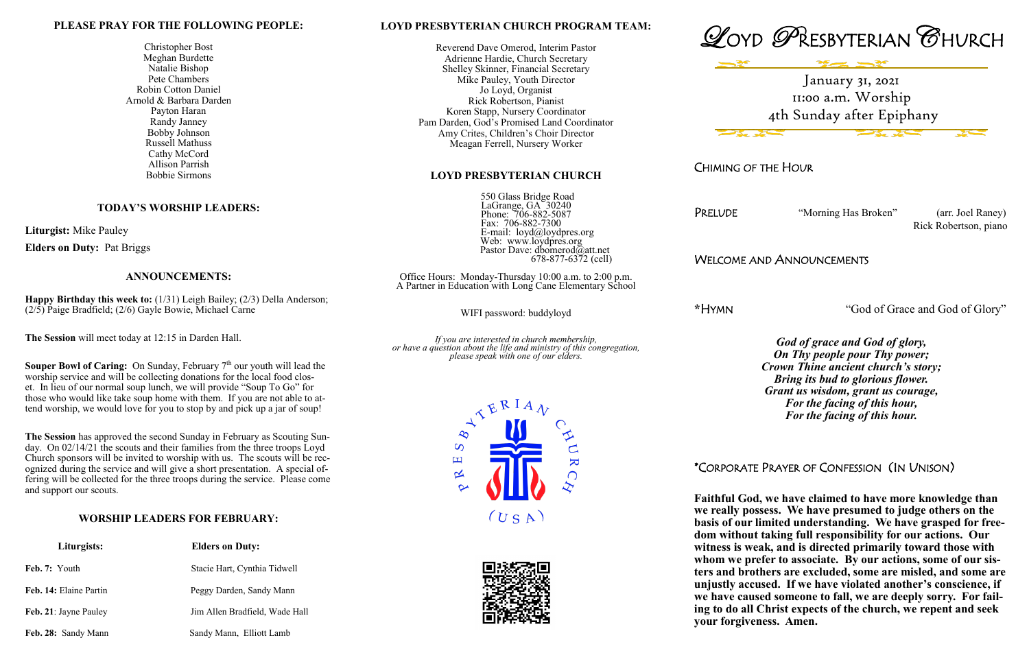#### **LOYD PRESBYTERIAN CHURCH PROGRAM TEAM:**

Reverend Dave Omerod, Interim Pastor Adrienne Hardie, Church Secretary Shelley Skinner, Financial Secretary Mike Pauley, Youth Director Jo Loyd, Organist Rick Robertson, Pianist Koren Stapp, Nursery Coordinator Pam Darden, God's Promised Land Coordinator Amy Crites, Children's Choir Director Meagan Ferrell, Nursery Worker

### **LOYD PRESBYTERIAN CHURCH**

 550 Glass Bridge Road LaGrange, GA 30240 Phone: 706-882-5087 Fax: 706-882-7300 E-mail: loyd@loydpres.org Web: www.loydpres.org Pastor Dave: dbomerod@att.net 678-877-6372 (cell)

Office Hours: Monday-Thursday 10:00 a.m. to 2:00 p.m. A Partner in Education with Long Cane Elementary School

WIFI password: buddyloyd

*If you are interested in church membership, or have a question about the life and ministry of this congregation, please speak with one of our elders.*







CHIMING OF THE HOUR

PRELUDE "Morning Has Broken" (arr. Joel Raney)

Rick Robertson, piano

## WELCOME AND ANNOUNCEMENTS

**\***HYMN "God of Grace and God of Glory"

*God of grace and God of glory, On Thy people pour Thy power; Crown Thine ancient church's story; Bring its bud to glorious flower. Grant us wisdom, grant us courage, For the facing of this hour, For the facing of this hour.*

## \*CORPORATE PRAYER OF CONFESSION (IN UNISON)

**Souper Bowl of Caring:** On Sunday, February 7<sup>th</sup> our youth will lead the worship service and will be collecting donations for the local food closet. In lieu of our normal soup lunch, we will provide "Soup To Go" for those who would like take soup home with them. If you are not able to attend worship, we would love for you to stop by and pick up a jar of soup!

> **Faithful God, we have claimed to have more knowledge than we really possess. We have presumed to judge others on the basis of our limited understanding. We have grasped for freedom without taking full responsibility for our actions. Our witness is weak, and is directed primarily toward those with whom we prefer to associate. By our actions, some of our sisters and brothers are excluded, some are misled, and some are unjustly accused. If we have violated another's conscience, if we have caused someone to fall, we are deeply sorry. For failing to do all Christ expects of the church, we repent and seek your forgiveness. Amen.**

#### **PLEASE PRAY FOR THE FOLLOWING PEOPLE:**

Christopher Bost Meghan Burdette Natalie Bishop Pete Chambers Robin Cotton Daniel Arnold & Barbara Darden Payton Haran Randy Janney Bobby Johnson Russell Mathuss Cathy McCord Allison Parrish Bobbie Sirmons

### **TODAY'S WORSHIP LEADERS:**

**Liturgist:** Mike Pauley

**Elders on Duty:** Pat Briggs

#### **ANNOUNCEMENTS:**

**Happy Birthday this week to:** (1/31) Leigh Bailey; (2/3) Della Anderson; (2/5) Paige Bradfield; (2/6) Gayle Bowie, Michael Carne

**The Session** will meet today at 12:15 in Darden Hall.

**The Session** has approved the second Sunday in February as Scouting Sunday. On 02/14/21 the scouts and their families from the three troops Loyd Church sponsors will be invited to worship with us. The scouts will be recognized during the service and will give a short presentation. A special offering will be collected for the three troops during the service. Please come and support our scouts.

### **WORSHIP LEADERS FOR FEBRUARY:**

| Liturgists:            | <b>Elders on Duty:</b>         |
|------------------------|--------------------------------|
| Feb. 7: Youth          | Stacie Hart, Cynthia Tidwell   |
| Feb. 14: Elaine Partin | Peggy Darden, Sandy Mann       |
| Feb. 21: Jayne Pauley  | Jim Allen Bradfield, Wade Hall |
| Feb. 28: Sandy Mann    | Sandy Mann, Elliott Lamb       |

January 31, 2021 11:00 a.m. Worship 4th Sunday after Epiphany